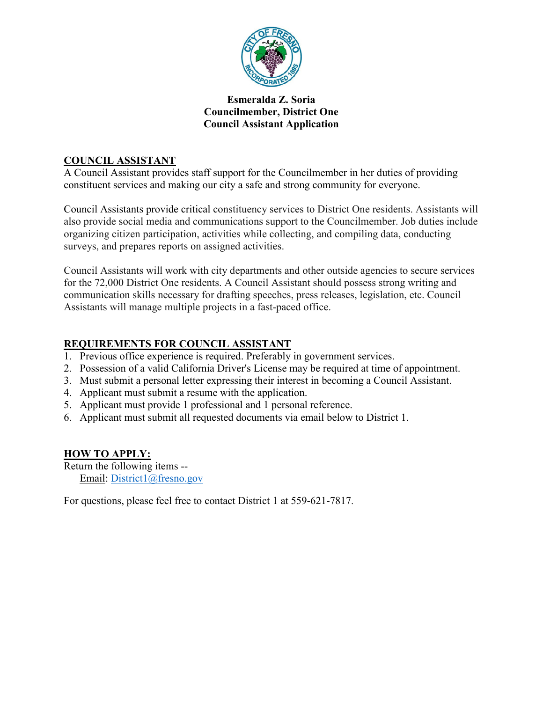

#### **Esmeralda Z. Soria Councilmember, District One Council Assistant Application**

#### **COUNCIL ASSISTANT**

A Council Assistant provides staff support for the Councilmember in her duties of providing constituent services and making our city a safe and strong community for everyone.

Council Assistants provide critical constituency services to District One residents. Assistants will also provide social media and communications support to the Councilmember. Job duties include organizing citizen participation, activities while collecting, and compiling data, conducting surveys, and prepares reports on assigned activities.

Council Assistants will work with city departments and other outside agencies to secure services for the 72,000 District One residents. A Council Assistant should possess strong writing and communication skills necessary for drafting speeches, press releases, legislation, etc. Council Assistants will manage multiple projects in a fast-paced office.

# **REQUIREMENTS FOR COUNCIL ASSISTANT**

- 1. Previous office experience is required. Preferably in government services.
- 2. Possession of a valid California Driver's License may be required at time of appointment.
- 3. Must submit a personal letter expressing their interest in becoming a Council Assistant.
- 4. Applicant must submit a resume with the application.
- 5. Applicant must provide 1 professional and 1 personal reference.
- 6. Applicant must submit all requested documents via email below to District 1.

# **HOW TO APPLY:**

Return the following items -- Email: [District1@fresno.gov](mailto:District1@fresno.gov)

For questions, please feel free to contact District 1 at 559-621-7817.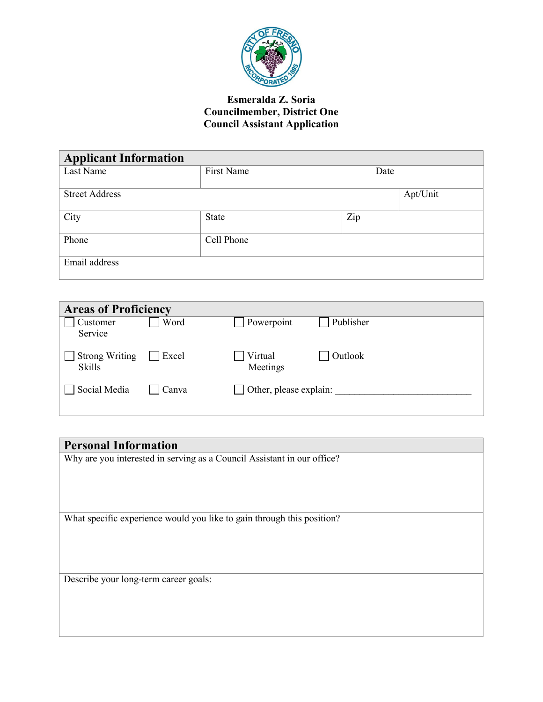

# **Esmeralda Z. Soria Councilmember, District One Council Assistant Application**

| <b>Applicant Information</b> |              |     |      |          |  |  |
|------------------------------|--------------|-----|------|----------|--|--|
| Last Name                    | First Name   |     | Date |          |  |  |
|                              |              |     |      |          |  |  |
| <b>Street Address</b>        |              |     |      | Apt/Unit |  |  |
|                              |              |     |      |          |  |  |
| City                         | <b>State</b> | Zip |      |          |  |  |
|                              |              |     |      |          |  |  |
| Phone                        | Cell Phone   |     |      |          |  |  |
|                              |              |     |      |          |  |  |
| Email address                |              |     |      |          |  |  |
|                              |              |     |      |          |  |  |

| <b>Areas of Proficiency</b>     |       |                        |           |
|---------------------------------|-------|------------------------|-----------|
| Customer<br>Service             | Word  | $\Box$ Powerpoint      | Publisher |
| <b>Strong Writing</b><br>Skills | Excel | Virtual<br>Meetings    | Outlook   |
| Social Media                    | Canva | Other, please explain: |           |

| <b>Personal Information</b>                                             |
|-------------------------------------------------------------------------|
| Why are you interested in serving as a Council Assistant in our office? |
|                                                                         |
|                                                                         |
|                                                                         |
| What specific experience would you like to gain through this position?  |
|                                                                         |
|                                                                         |
|                                                                         |
| Describe your long-term career goals:                                   |
|                                                                         |
|                                                                         |
|                                                                         |